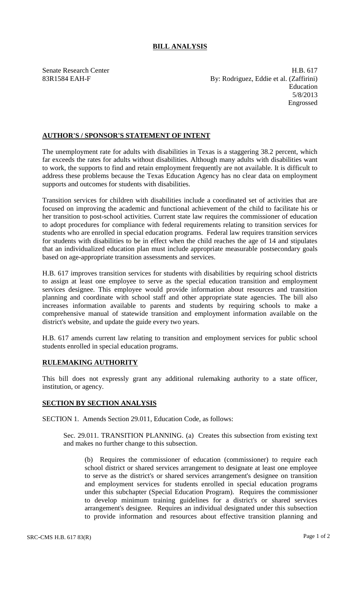## **BILL ANALYSIS**

Senate Research Center **H.B. 617** 83R1584 EAH-F By: Rodriguez, Eddie et al. (Zaffirini) Education 5/8/2013 Engrossed

## **AUTHOR'S / SPONSOR'S STATEMENT OF INTENT**

The unemployment rate for adults with disabilities in Texas is a staggering 38.2 percent, which far exceeds the rates for adults without disabilities. Although many adults with disabilities want to work, the supports to find and retain employment frequently are not available. It is difficult to address these problems because the Texas Education Agency has no clear data on employment supports and outcomes for students with disabilities.

Transition services for children with disabilities include a coordinated set of activities that are focused on improving the academic and functional achievement of the child to facilitate his or her transition to post-school activities. Current state law requires the commissioner of education to adopt procedures for compliance with federal requirements relating to transition services for students who are enrolled in special education programs. Federal law requires transition services for students with disabilities to be in effect when the child reaches the age of 14 and stipulates that an individualized education plan must include appropriate measurable postsecondary goals based on age-appropriate transition assessments and services.

H.B. 617 improves transition services for students with disabilities by requiring school districts to assign at least one employee to serve as the special education transition and employment services designee. This employee would provide information about resources and transition planning and coordinate with school staff and other appropriate state agencies. The bill also increases information available to parents and students by requiring schools to make a comprehensive manual of statewide transition and employment information available on the district's website, and update the guide every two years.

H.B. 617 amends current law relating to transition and employment services for public school students enrolled in special education programs.

## **RULEMAKING AUTHORITY**

This bill does not expressly grant any additional rulemaking authority to a state officer, institution, or agency.

## **SECTION BY SECTION ANALYSIS**

SECTION 1. Amends Section 29.011, Education Code, as follows:

Sec. 29.011. TRANSITION PLANNING. (a) Creates this subsection from existing text and makes no further change to this subsection.

(b) Requires the commissioner of education (commissioner) to require each school district or shared services arrangement to designate at least one employee to serve as the district's or shared services arrangement's designee on transition and employment services for students enrolled in special education programs under this subchapter (Special Education Program). Requires the commissioner to develop minimum training guidelines for a district's or shared services arrangement's designee. Requires an individual designated under this subsection to provide information and resources about effective transition planning and